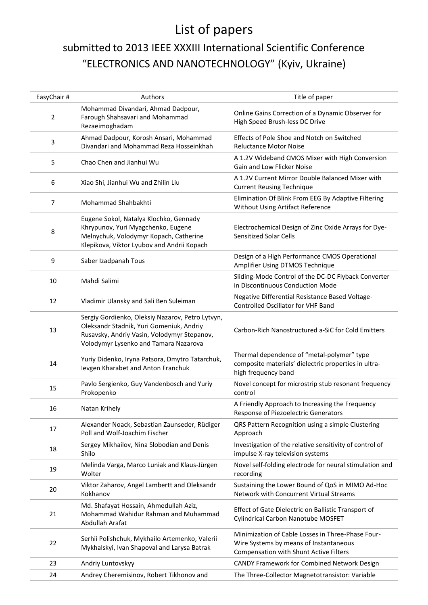## List of papers

## submitted to 2013 IEEE XXXIII International Scientific Conference "ELECTRONICS AND NANOTECHNOLOGY" (Kyiv, Ukraine)

| EasyChair # | Authors                                                                                                                                                                              | Title of paper                                                                                                                        |
|-------------|--------------------------------------------------------------------------------------------------------------------------------------------------------------------------------------|---------------------------------------------------------------------------------------------------------------------------------------|
| 2           | Mohammad Divandari, Ahmad Dadpour,<br>Farough Shahsavari and Mohammad<br>Rezaeimoghadam                                                                                              | Online Gains Correction of a Dynamic Observer for<br>High Speed Brush-less DC Drive                                                   |
| 3           | Ahmad Dadpour, Korosh Ansari, Mohammad<br>Divandari and Mohammad Reza Hosseinkhah                                                                                                    | Effects of Pole Shoe and Notch on Switched<br><b>Reluctance Motor Noise</b>                                                           |
| 5           | Chao Chen and Jianhui Wu                                                                                                                                                             | A 1.2V Wideband CMOS Mixer with High Conversion<br>Gain and Low Flicker Noise                                                         |
| 6           | Xiao Shi, Jianhui Wu and Zhilin Liu                                                                                                                                                  | A 1.2V Current Mirror Double Balanced Mixer with<br><b>Current Reusing Technique</b>                                                  |
| 7           | Mohammad Shahbakhti                                                                                                                                                                  | Elimination Of Blink From EEG By Adaptive Filtering<br>Without Using Artifact Reference                                               |
| 8           | Eugene Sokol, Natalya Klochko, Gennady<br>Khrypunov, Yuri Myagchenko, Eugene<br>Melnychuk, Volodymyr Kopach, Catherine<br>Klepikova, Viktor Lyubov and Andrii Kopach                 | Electrochemical Design of Zinc Oxide Arrays for Dye-<br><b>Sensitized Solar Cells</b>                                                 |
| 9           | Saber Izadpanah Tous                                                                                                                                                                 | Design of a High Performance CMOS Operational<br>Amplifier Using DTMOS Technique                                                      |
| 10          | Mahdi Salimi                                                                                                                                                                         | Sliding-Mode Control of the DC-DC Flyback Converter<br>in Discontinuous Conduction Mode                                               |
| 12          | Vladimir Ulansky and Sali Ben Suleiman                                                                                                                                               | Negative Differential Resistance Based Voltage-<br><b>Controlled Oscillator for VHF Band</b>                                          |
| 13          | Sergiy Gordienko, Oleksiy Nazarov, Petro Lytvyn,<br>Oleksandr Stadnik, Yuri Gomeniuk, Andriy<br>Rusavsky, Andriy Vasin, Volodymyr Stepanov,<br>Volodymyr Lysenko and Tamara Nazarova | Carbon-Rich Nanostructured a-SiC for Cold Emitters                                                                                    |
| 14          | Yuriy Didenko, Iryna Patsora, Dmytro Tatarchuk,<br>levgen Kharabet and Anton Franchuk                                                                                                | Thermal dependence of "metal-polymer" type<br>composite materials' dielectric properties in ultra-<br>high frequency band             |
| 15          | Pavlo Sergienko, Guy Vandenbosch and Yuriy<br>Prokopenko                                                                                                                             | Novel concept for microstrip stub resonant frequency<br>control                                                                       |
| 16          | Natan Krihely                                                                                                                                                                        | A Friendly Approach to Increasing the Frequency<br>Response of Piezoelectric Generators                                               |
| 17          | Alexander Noack, Sebastian Zaunseder, Rüdiger<br>Poll and Wolf-Joachim Fischer                                                                                                       | QRS Pattern Recognition using a simple Clustering<br>Approach                                                                         |
| 18          | Sergey Mikhailov, Nina Slobodian and Denis<br>Shilo                                                                                                                                  | Investigation of the relative sensitivity of control of<br>impulse X-ray television systems                                           |
| 19          | Melinda Varga, Marco Luniak and Klaus-Jürgen<br>Wolter                                                                                                                               | Novel self-folding electrode for neural stimulation and<br>recording                                                                  |
| 20          | Viktor Zaharov, Angel Lambertt and Oleksandr<br>Kokhanov                                                                                                                             | Sustaining the Lower Bound of QoS in MIMO Ad-Hoc<br>Network with Concurrent Virtual Streams                                           |
| 21          | Md. Shafayat Hossain, Ahmedullah Aziz,<br>Mohammad Wahidur Rahman and Muhammad<br>Abdullah Arafat                                                                                    | Effect of Gate Dielectric on Ballistic Transport of<br>Cylindrical Carbon Nanotube MOSFET                                             |
| 22          | Serhii Polishchuk, Mykhailo Artemenko, Valerii<br>Mykhalskyi, Ivan Shapoval and Larysa Batrak                                                                                        | Minimization of Cable Losses in Three-Phase Four-<br>Wire Systems by means of Instantaneous<br>Compensation with Shunt Active Filters |
| 23          | Andriy Luntovskyy                                                                                                                                                                    | CANDY Framework for Combined Network Design                                                                                           |
| 24          | Andrey Cheremisinov, Robert Tikhonov and                                                                                                                                             | The Three-Collector Magnetotransistor: Variable                                                                                       |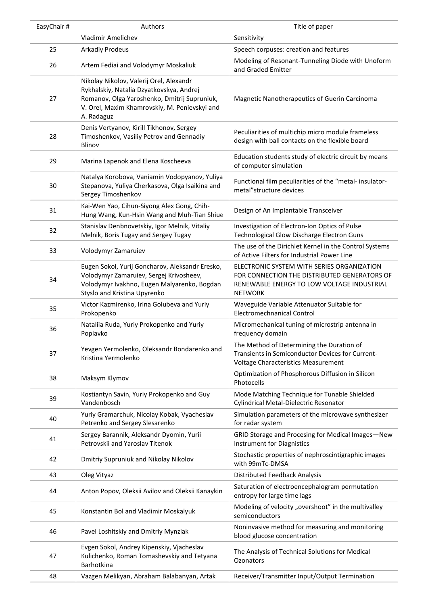| EasyChair# | Authors                                                                                                                                                                                            | Title of paper                                                                                                                                             |
|------------|----------------------------------------------------------------------------------------------------------------------------------------------------------------------------------------------------|------------------------------------------------------------------------------------------------------------------------------------------------------------|
|            | <b>Vladimir Amelichev</b>                                                                                                                                                                          | Sensitivity                                                                                                                                                |
| 25         | <b>Arkadiy Prodeus</b>                                                                                                                                                                             | Speech corpuses: creation and features                                                                                                                     |
| 26         | Artem Fediai and Volodymyr Moskaliuk                                                                                                                                                               | Modeling of Resonant-Tunneling Diode with Unoform<br>and Graded Emitter                                                                                    |
| 27         | Nikolay Nikolov, Valerij Orel, Alexandr<br>Rykhalskiy, Natalia Dzyatkovskya, Andrej<br>Romanov, Olga Yaroshenko, Dmitrij Supruniuk,<br>V. Orel, Maxim Khamrovskiy, M. Penievskyi and<br>A. Radaguz | Magnetic Nanotherapeutics of Guerin Carcinoma                                                                                                              |
| 28         | Denis Vertyanov, Kirill Tikhonov, Sergey<br>Timoshenkov, Vasiliy Petrov and Gennadiy<br>Blinov                                                                                                     | Peculiarities of multichip micro module frameless<br>design with ball contacts on the flexible board                                                       |
| 29         | Marina Lapenok and Elena Koscheeva                                                                                                                                                                 | Education students study of electric circuit by means<br>of computer simulation                                                                            |
| 30         | Natalya Korobova, Vaniamin Vodopyanov, Yuliya<br>Stepanova, Yuliya Cherkasova, Olga Isaikina and<br>Sergey Timoshenkov                                                                             | Functional film peculiarities of the "metal- insulator-<br>metal"structure devices                                                                         |
| 31         | Kai-Wen Yao, Cihun-Siyong Alex Gong, Chih-<br>Hung Wang, Kun-Hsin Wang and Muh-Tian Shiue                                                                                                          | Design of An Implantable Transceiver                                                                                                                       |
| 32         | Stanislav Denbnovetskiy, Igor Melnik, Vitaliy<br>Melnik, Boris Tugay and Sergey Tugay                                                                                                              | Investigation of Electron-Ion Optics of Pulse<br>Technological Glow Discharge Electron Guns                                                                |
| 33         | Volodymyr Zamaruiev                                                                                                                                                                                | The use of the Dirichlet Kernel in the Control Systems<br>of Active Filters for Industrial Power Line                                                      |
| 34         | Eugen Sokol, Yurij Goncharov, Aleksandr Eresko,<br>Volodymyr Zamaruiev, Sergej Krivosheev,<br>Volodymyr Ivakhno, Eugen Malyarenko, Bogdan<br>Styslo and Kristina Upyrenko                          | ELECTRONIC SYSTEM WITH SERIES ORGANIZATION<br>FOR CONNECTION THE DISTRIBUTED GENERATORS OF<br>RENEWABLE ENERGY TO LOW VOLTAGE INDUSTRIAL<br><b>NETWORK</b> |
| 35         | Victor Kazmirenko, Irina Golubeva and Yuriy<br>Prokopenko                                                                                                                                          | Waveguide Variable Attenuator Suitable for<br><b>Electromechnanical Control</b>                                                                            |
| 36         | Nataliia Ruda, Yuriy Prokopenko and Yuriy<br>Poplavko                                                                                                                                              | Micromechanical tuning of microstrip antenna in<br>frequency domain                                                                                        |
| 37         | Yevgen Yermolenko, Oleksandr Bondarenko and<br>Kristina Yermolenko                                                                                                                                 | The Method of Determining the Duration of<br>Transients in Semiconductor Devices for Current-<br>Voltage Characteristics Measurement                       |
| 38         | Maksym Klymov                                                                                                                                                                                      | Optimization of Phosphorous Diffusion in Silicon<br>Photocells                                                                                             |
| 39         | Kostiantyn Savin, Yuriy Prokopenko and Guy<br>Vandenbosch                                                                                                                                          | Mode Matching Technique for Tunable Shielded<br>Cylindrical Metal-Dielectric Resonator                                                                     |
| 40         | Yuriy Gramarchuk, Nicolay Kobak, Vyacheslav<br>Petrenko and Sergey Slesarenko                                                                                                                      | Simulation parameters of the microwave synthesizer<br>for radar system                                                                                     |
| 41         | Sergey Barannik, Aleksandr Dyomin, Yurii<br>Petrovskii and Yaroslav Titenok                                                                                                                        | GRID Storage and Procesing for Medical Images-New<br><b>Instrument for Diagnistics</b>                                                                     |
| 42         | Dmitriy Supruniuk and Nikolay Nikolov                                                                                                                                                              | Stochastic properties of nephroscintigraphic images<br>with 99mTc-DMSA                                                                                     |
| 43         | Oleg Vityaz                                                                                                                                                                                        | Distributed Feedback Analysis                                                                                                                              |
| 44         | Anton Popov, Oleksii Avilov and Oleksii Kanaykin                                                                                                                                                   | Saturation of electroencephalogram permutation<br>entropy for large time lags                                                                              |
| 45         | Konstantin Bol and Vladimir Moskalyuk                                                                                                                                                              | Modeling of velocity "overshoot" in the multivalley<br>semiconductors                                                                                      |
| 46         | Pavel Loshitskiy and Dmitriy Mynziak                                                                                                                                                               | Noninvasive method for measuring and monitoring<br>blood glucose concentration                                                                             |
| 47         | Evgen Sokol, Andrey Kipenskiy, Vjacheslav<br>Kulichenko, Roman Tomashevskiy and Tetyana<br>Barhotkina                                                                                              | The Analysis of Technical Solutions for Medical<br>Ozonators                                                                                               |
| 48         | Vazgen Melikyan, Abraham Balabanyan, Artak                                                                                                                                                         | Receiver/Transmitter Input/Output Termination                                                                                                              |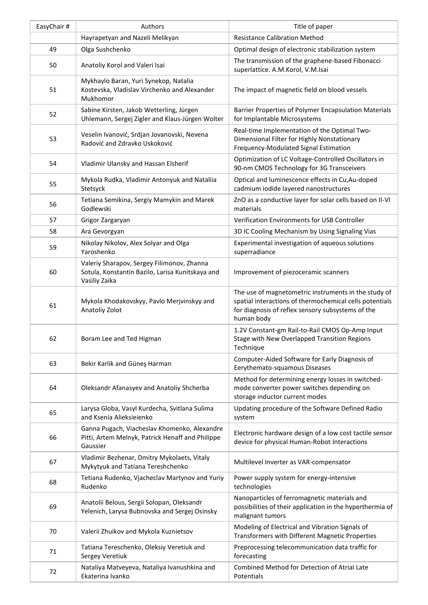| EasyChair# | Authors                                                                                                         | Title of paper                                                                                                                                                                     |
|------------|-----------------------------------------------------------------------------------------------------------------|------------------------------------------------------------------------------------------------------------------------------------------------------------------------------------|
|            | Hayrapetyan and Nazeli Melikyan                                                                                 | <b>Resistance Calibration Method</b>                                                                                                                                               |
| 49         | Olga Sushchenko                                                                                                 | Optimal design of electronic stabilization system                                                                                                                                  |
| 50         | Anatoliy Korol and Valeri Isai                                                                                  | The transmission of the graphene-based Fibonacci<br>superlattice. A.M.Korol, V.M.Isai                                                                                              |
| 51         | Mykhaylo Baran, Yuri Synekop, Natalia<br>Kostevska, Vladislav Virchenko and Alexander<br>Mukhomor               | The impact of magnetic field on blood vessels                                                                                                                                      |
| 52         | Sabine Kirsten, Jakob Wetterling, Jürgen<br>Uhlemann, Sergej Zigler and Klaus-Jürgen Wolter                     | Barrier Properties of Polymer Encapsulation Materials<br>for Implantable Microsystems                                                                                              |
| 53         | Veselin Ivanović, Srdjan Jovanovski, Nevena<br>Radović and Zdravko Uskoković                                    | Real-time Implementation of the Optimal Two-<br>Dimensional Filter for Highly Nonstationary<br>Frequency-Modulated Signal Estimation                                               |
| 54         | Vladimir Ulansky and Hassan Elsherif                                                                            | Optimization of LC Voltage-Controlled Oscillators in<br>90-nm CMOS Technology for 3G Transceivers                                                                                  |
| 55         | Mykola Rudka, Vladimir Antonyuk and Nataliia<br>Stetsyck                                                        | Optical and luminescence effects in Cu, Au-doped<br>cadmium iodide layered nanostructures                                                                                          |
| 56         | Tetiana Semikina, Sergiy Mamykin and Marek<br>Godlewski                                                         | ZnO as a conductive layer for solar cells based on II-VI<br>materials                                                                                                              |
| 57         | Grigor Zargaryan                                                                                                | Verification Environments for USB Controller                                                                                                                                       |
| 58         | Ara Gevorgyan                                                                                                   | 3D IC Cooling Mechanism by Using Signaling Vias                                                                                                                                    |
| 59         | Nikolay Nikolov, Alex Solyar and Olga<br>Yaroshenko                                                             | Experimental investigation of aqueous solutions<br>superradiance                                                                                                                   |
| 60         | Valeriy Sharapov, Sergey Filimonov, Zhanna<br>Sotula, Konstantin Bazilo, Larisa Kunitskaya and<br>Vasiliy Zaika | Improvement of piezoceramic scanners                                                                                                                                               |
| 61         | Mykola Khodakovskyy, Pavlo Merjvinskyy and<br>Anatoliy Zolot                                                    | The use of magnetometric instruments in the study of<br>spatial interactions of thermochemical cells potentials<br>for diagnosis of reflex sensory subsystems of the<br>human body |
| 62         | Boram Lee and Ted Higman                                                                                        | 1.2V Constant-gm Rail-to-Rail CMOS Op-Amp Input<br>Stage with New Overlapped Transition Regions<br>Technique                                                                       |
| 63         | Bekir Karlik and Güneş Harman                                                                                   | Computer-Aided Software for Early Diagnosis of<br>Eerythemato-squamous Diseases                                                                                                    |
| 64         | Oleksandr Afanasyev and Anatoliy Shcherba                                                                       | Method for determining energy losses in switched-<br>mode converter power switches depending on<br>storage inductor current modes                                                  |
| 65         | Larysa Globa, Vasyl Kurdecha, Svitlana Sulima<br>and Ksenia Alieksieienko                                       | Updating procedure of the Software Defined Radio<br>system                                                                                                                         |
| 66         | Ganna Pugach, Viacheslav Khomenko, Alexandre<br>Pitti, Artem Melnyk, Patrick Henaff and Philippe<br>Gaussier    | Electronic hardware design of a low cost tactile sensor<br>device for physical Human-Robot Interactions                                                                            |
| 67         | Vladimir Bezhenar, Dmitry Mykolaets, Vitaly<br>Mykytyuk and Tatiana Tereshchenko                                | Multilevel Inverter as VAR-compensator                                                                                                                                             |
| 68         | Tetiana Rudenko, Vjacheclav Martynov and Yuriy<br>Rudenko                                                       | Power supply system for energy-intensive<br>technologies                                                                                                                           |
| 69         | Anatolii Belous, Sergii Solopan, Oleksandr<br>Yelenich, Larysa Bubnovska and Sergej Osinsky                     | Nanoparticles of ferromagnetic materials and<br>possibilities of their application in the hyperthermia of<br>malignant tumors                                                      |
| 70         | Valerii Zhuikov and Mykola Kuznietsov                                                                           | Modeling of Electrical and Vibration Signals of<br>Transformers with Different Magnetic Properties                                                                                 |
| 71         | Tatiana Tereschenko, Oleksiy Veretiuk and<br>Sergey Veretiuk                                                    | Preprocessing telecommunication data traffic for<br>forecasting                                                                                                                    |
| 72         | Nataliya Matveyeva, Nataliya Ivanushkina and<br>Ekaterina Ivanko                                                | Combined Method for Detection of Atrial Late<br>Potentials                                                                                                                         |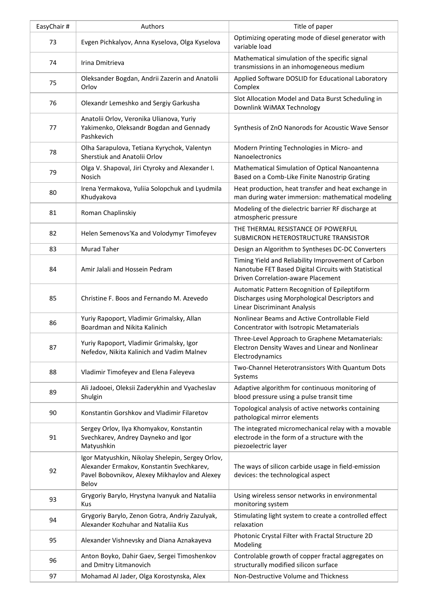| EasyChair # | Authors                                                                                                                                                 | Title of paper                                                                                                                                          |
|-------------|---------------------------------------------------------------------------------------------------------------------------------------------------------|---------------------------------------------------------------------------------------------------------------------------------------------------------|
| 73          | Evgen Pichkalyov, Anna Kyselova, Olga Kyselova                                                                                                          | Optimizing operating mode of diesel generator with<br>variable load                                                                                     |
| 74          | Irina Dmitrieva                                                                                                                                         | Mathematical simulation of the specific signal<br>transmissions in an inhomogeneous medium                                                              |
| 75          | Oleksander Bogdan, Andrii Zazerin and Anatolii<br>Orlov                                                                                                 | Applied Software DOSLID for Educational Laboratory<br>Complex                                                                                           |
| 76          | Olexandr Lemeshko and Sergiy Garkusha                                                                                                                   | Slot Allocation Model and Data Burst Scheduling in<br>Downlink WiMAX Technology                                                                         |
| 77          | Anatolii Orlov, Veronika Ulianova, Yuriy<br>Yakimenko, Oleksandr Bogdan and Gennady<br>Pashkevich                                                       | Synthesis of ZnO Nanorods for Acoustic Wave Sensor                                                                                                      |
| 78          | Olha Sarapulova, Tetiana Kyrychok, Valentyn<br>Sherstiuk and Anatolii Orlov                                                                             | Modern Printing Technologies in Micro- and<br>Nanoelectronics                                                                                           |
| 79          | Olga V. Shapoval, Jiri Ctyroky and Alexander I.<br><b>Nosich</b>                                                                                        | Mathematical Simulation of Optical Nanoantenna<br>Based on a Comb-Like Finite Nanostrip Grating                                                         |
| 80          | Irena Yermakova, Yuliia Solopchuk and Lyudmila<br>Khudyakova                                                                                            | Heat production, heat transfer and heat exchange in<br>man during water immersion: mathematical modeling                                                |
| 81          | Roman Chaplinskiy                                                                                                                                       | Modeling of the dielectric barrier RF discharge at<br>atmospheric pressure                                                                              |
| 82          | Helen Semenovs'Ka and Volodymyr Timofeyev                                                                                                               | THE THERMAL RESISTANCE OF POWERFUL<br>SUBMICRON HETEROSTRUCTURE TRANSISTOR                                                                              |
| 83          | <b>Murad Taher</b>                                                                                                                                      | Design an Algorithm to Syntheses DC-DC Converters                                                                                                       |
| 84          | Amir Jalali and Hossein Pedram                                                                                                                          | Timing Yield and Reliability Improvement of Carbon<br>Nanotube FET Based Digital Circuits with Statistical<br><b>Driven Correlation-aware Placement</b> |
| 85          | Christine F. Boos and Fernando M. Azevedo                                                                                                               | Automatic Pattern Recognition of Epileptiform<br>Discharges using Morphological Descriptors and<br><b>Linear Discriminant Analysis</b>                  |
| 86          | Yuriy Rapoport, Vladimir Grimalsky, Allan<br>Boardman and Nikita Kalinich                                                                               | Nonlinear Beams and Active Controllable Field<br>Concentrator with Isotropic Metamaterials                                                              |
| 87          | Yuriy Rapoport, Vladimir Grimalsky, Igor<br>Nefedov, Nikita Kalinich and Vadim Malnev                                                                   | Three-Level Approach to Graphene Metamaterials:<br>Electron Density Waves and Linear and Nonlinear<br>Electrodynamics                                   |
| 88          | Vladimir Timofeyev and Elena Faleyeva                                                                                                                   | Two-Channel Heterotransistors With Quantum Dots<br>Systems                                                                                              |
| 89          | Ali Jadooei, Oleksii Zaderykhin and Vyacheslav<br>Shulgin                                                                                               | Adaptive algorithm for continuous monitoring of<br>blood pressure using a pulse transit time                                                            |
| 90          | Konstantin Gorshkov and Vladimir Filaretov                                                                                                              | Topological analysis of active networks containing<br>pathological mirror elements                                                                      |
| 91          | Sergey Orlov, Ilya Khomyakov, Konstantin<br>Svechkarev, Andrey Dayneko and Igor<br>Matyushkin                                                           | The integrated micromechanical relay with a movable<br>electrode in the form of a structure with the<br>piezoelectric layer                             |
| 92          | Igor Matyushkin, Nikolay Shelepin, Sergey Orlov,<br>Alexander Ermakov, Konstantin Svechkarev,<br>Pavel Bobovnikov, Alexey Mikhaylov and Alexey<br>Belov | The ways of silicon carbide usage in field-emission<br>devices: the technological aspect                                                                |
| 93          | Grygoriy Barylo, Hrystyna Ivanyuk and Nataliia<br>Kus                                                                                                   | Using wireless sensor networks in environmental<br>monitoring system                                                                                    |
| 94          | Grygoriy Barylo, Zenon Gotra, Andriy Zazulyak,<br>Alexander Kozhuhar and Nataliia Kus                                                                   | Stimulating light system to create a controlled effect<br>relaxation                                                                                    |
| 95          | Alexander Vishnevsky and Diana Aznakayeva                                                                                                               | Photonic Crystal Filter with Fractal Structure 2D<br>Modeling                                                                                           |
| 96          | Anton Boyko, Dahir Gaev, Sergei Timoshenkov<br>and Dmitry Litmanovich                                                                                   | Controlable growth of copper fractal aggregates on<br>structurally modified silicon surface                                                             |
| 97          | Mohamad Al Jader, Olga Korostynska, Alex                                                                                                                | Non-Destructive Volume and Thickness                                                                                                                    |